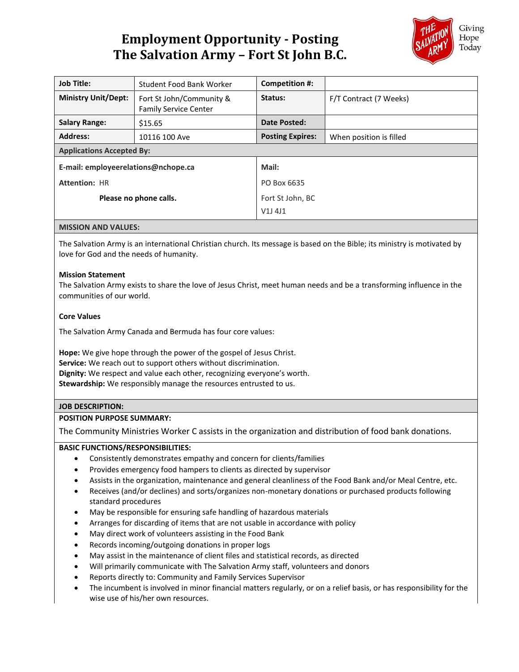# **Employment Opportunity - Posting The Salvation Army – Fort St John B.C.**



| <b>Job Title:</b>                   | Student Food Bank Worker                                 | Competition #:             |                         |
|-------------------------------------|----------------------------------------------------------|----------------------------|-------------------------|
| <b>Ministry Unit/Dept:</b>          | Fort St John/Community &<br><b>Family Service Center</b> | Status:                    | F/T Contract (7 Weeks)  |
| <b>Salary Range:</b>                | \$15.65                                                  | Date Posted:               |                         |
| <b>Address:</b>                     | 10116 100 Ave                                            | <b>Posting Expires:</b>    | When position is filled |
| <b>Applications Accepted By:</b>    |                                                          |                            |                         |
| E-mail: employeerelations@nchope.ca |                                                          | Mail:                      |                         |
| <b>Attention: HR</b>                |                                                          | PO Box 6635                |                         |
| Please no phone calls.              |                                                          | Fort St John, BC<br>V1J4J1 |                         |

#### **MISSION AND VALUES:**

The Salvation Army is an international Christian church. Its message is based on the Bible; its ministry is motivated by love for God and the needs of humanity.

## **Mission Statement**

The Salvation Army exists to share the love of Jesus Christ, meet human needs and be a transforming influence in the communities of our world.

## **Core Values**

The Salvation Army Canada and Bermuda has four core values:

**Hope:** We give hope through the power of the gospel of Jesus Christ. **Service:** We reach out to support others without discrimination. **Dignity:** We respect and value each other, recognizing everyone's worth. **Stewardship:** We responsibly manage the resources entrusted to us.

# **JOB DESCRIPTION:**

#### **POSITION PURPOSE SUMMARY:**

The Community Ministries Worker C assists in the organization and distribution of food bank donations.

#### **BASIC FUNCTIONS/RESPONSIBILITIES:**

- Consistently demonstrates empathy and concern for clients/families
- Provides emergency food hampers to clients as directed by supervisor
- Assists in the organization, maintenance and general cleanliness of the Food Bank and/or Meal Centre, etc.
- Receives (and/or declines) and sorts/organizes non-monetary donations or purchased products following standard procedures
- May be responsible for ensuring safe handling of hazardous materials
- Arranges for discarding of items that are not usable in accordance with policy
- May direct work of volunteers assisting in the Food Bank
- Records incoming/outgoing donations in proper logs
- May assist in the maintenance of client files and statistical records, as directed
- Will primarily communicate with The Salvation Army staff, volunteers and donors
- Reports directly to: Community and Family Services Supervisor
- The incumbent is involved in minor financial matters regularly, or on a relief basis, or has responsibility for the wise use of his/her own resources.